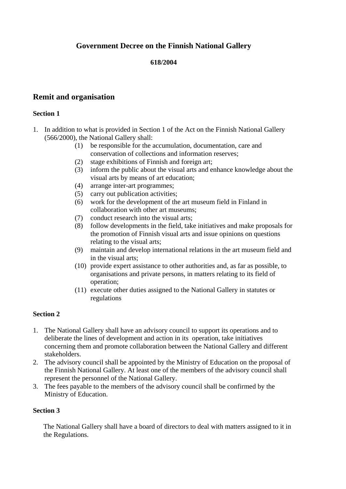# **Government Decree on the Finnish National Gallery**

## **618/2004**

# **Remit and organisation**

## **Section 1**

- 1. In addition to what is provided in Section 1 of the Act on the Finnish National Gallery (566/2000), the National Gallery shall:
	- (1) be responsible for the accumulation, documentation, care and conservation of collections and information reserves;
	- (2) stage exhibitions of Finnish and foreign art;
	- (3) inform the public about the visual arts and enhance knowledge about the visual arts by means of art education;
	- (4) arrange inter-art programmes;
	- (5) carry out publication activities;
	- (6) work for the development of the art museum field in Finland in collaboration with other art museums;
	- (7) conduct research into the visual arts;
	- (8) follow developments in the field, take initiatives and make proposals for the promotion of Finnish visual arts and issue opinions on questions relating to the visual arts;
	- (9) maintain and develop international relations in the art museum field and in the visual arts;
	- (10) provide expert assistance to other authorities and, as far as possible, to organisations and private persons, in matters relating to its field of operation;
	- (11) execute other duties assigned to the National Gallery in statutes or regulations

#### **Section 2**

- 1. The National Gallery shall have an advisory council to support its operations and to deliberate the lines of development and action in its operation, take initiatives concerning them and promote collaboration between the National Gallery and different stakeholders.
- 2. The advisory council shall be appointed by the Ministry of Education on the proposal of the Finnish National Gallery. At least one of the members of the advisory council shall represent the personnel of the National Gallery.
- 3. The fees payable to the members of the advisory council shall be confirmed by the Ministry of Education.

## **Section 3**

The National Gallery shall have a board of directors to deal with matters assigned to it in the Regulations.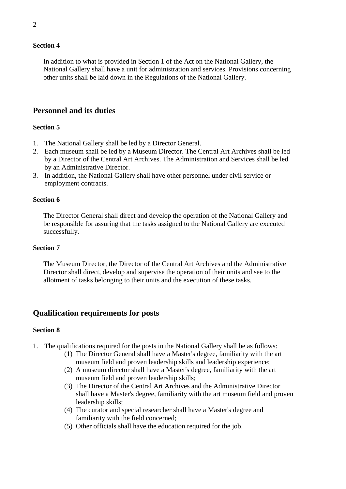#### **Section 4**

In addition to what is provided in Section 1 of the Act on the National Gallery, the National Gallery shall have a unit for administration and services. Provisions concerning other units shall be laid down in the Regulations of the National Gallery.

## **Personnel and its duties**

#### **Section 5**

- 1. The National Gallery shall be led by a Director General.
- 2. Each museum shall be led by a Museum Director. The Central Art Archives shall be led by a Director of the Central Art Archives. The Administration and Services shall be led by an Administrative Director.
- 3. In addition, the National Gallery shall have other personnel under civil service or employment contracts.

#### **Section 6**

The Director General shall direct and develop the operation of the National Gallery and be responsible for assuring that the tasks assigned to the National Gallery are executed successfully.

#### **Section 7**

The Museum Director, the Director of the Central Art Archives and the Administrative Director shall direct, develop and supervise the operation of their units and see to the allotment of tasks belonging to their units and the execution of these tasks.

## **Qualification requirements for posts**

#### **Section 8**

- 1. The qualifications required for the posts in the National Gallery shall be as follows:
	- (1) The Director General shall have a Master's degree, familiarity with the art museum field and proven leadership skills and leadership experience;
	- (2) A museum director shall have a Master's degree, familiarity with the art museum field and proven leadership skills;
	- (3) The Director of the Central Art Archives and the Administrative Director shall have a Master's degree, familiarity with the art museum field and proven leadership skills;
	- (4) The curator and special researcher shall have a Master's degree and familiarity with the field concerned;
	- (5) Other officials shall have the education required for the job.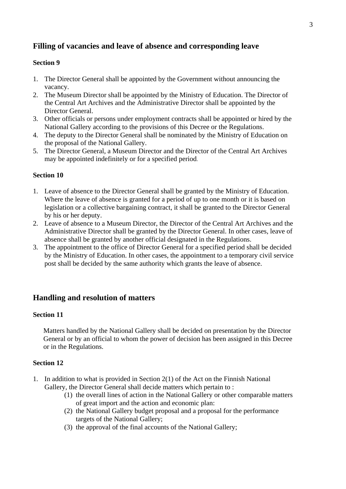# **Filling of vacancies and leave of absence and corresponding leave**

## **Section 9**

- 1. The Director General shall be appointed by the Government without announcing the vacancy.
- 2. The Museum Director shall be appointed by the Ministry of Education. The Director of the Central Art Archives and the Administrative Director shall be appointed by the Director General.
- 3. Other officials or persons under employment contracts shall be appointed or hired by the National Gallery according to the provisions of this Decree or the Regulations.
- 4. The deputy to the Director General shall be nominated by the Ministry of Education on the proposal of the National Gallery.
- 5. The Director General, a Museum Director and the Director of the Central Art Archives may be appointed indefinitely or for a specified period.

## **Section 10**

- 1. Leave of absence to the Director General shall be granted by the Ministry of Education. Where the leave of absence is granted for a period of up to one month or it is based on legislation or a collective bargaining contract, it shall be granted to the Director General by his or her deputy.
- 2. Leave of absence to a Museum Director, the Director of the Central Art Archives and the Administrative Director shall be granted by the Director General. In other cases, leave of absence shall be granted by another official designated in the Regulations.
- 3. The appointment to the office of Director General for a specified period shall be decided by the Ministry of Education. In other cases, the appointment to a temporary civil service post shall be decided by the same authority which grants the leave of absence.

# **Handling and resolution of matters**

## **Section 11**

Matters handled by the National Gallery shall be decided on presentation by the Director General or by an official to whom the power of decision has been assigned in this Decree or in the Regulations.

## **Section 12**

- 1. In addition to what is provided in Section 2(1) of the Act on the Finnish National Gallery, the Director General shall decide matters which pertain to :
	- (1) the overall lines of action in the National Gallery or other comparable matters of great import and the action and economic plan:
	- (2) the National Gallery budget proposal and a proposal for the performance targets of the National Gallery;
	- (3) the approval of the final accounts of the National Gallery;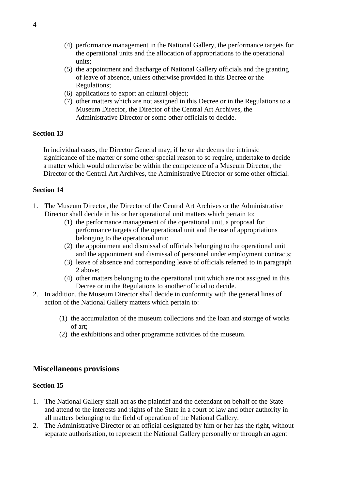- (4) performance management in the National Gallery, the performance targets for the operational units and the allocation of appropriations to the operational units;
- (5) the appointment and discharge of National Gallery officials and the granting of leave of absence, unless otherwise provided in this Decree or the Regulations;
- (6) applications to export an cultural object;
- (7) other matters which are not assigned in this Decree or in the Regulations to a Museum Director, the Director of the Central Art Archives, the Administrative Director or some other officials to decide.

## **Section 13**

In individual cases, the Director General may, if he or she deems the intrinsic significance of the matter or some other special reason to so require, undertake to decide a matter which would otherwise be within the competence of a Museum Director, the Director of the Central Art Archives, the Administrative Director or some other official.

## **Section 14**

- 1. The Museum Director, the Director of the Central Art Archives or the Administrative Director shall decide in his or her operational unit matters which pertain to:
	- (1) the performance management of the operational unit, a proposal for performance targets of the operational unit and the use of appropriations belonging to the operational unit;
	- (2) the appointment and dismissal of officials belonging to the operational unit and the appointment and dismissal of personnel under employment contracts;
	- (3) leave of absence and corresponding leave of officials referred to in paragraph 2 above;
	- (4) other matters belonging to the operational unit which are not assigned in this Decree or in the Regulations to another official to decide.
- 2. In addition, the Museum Director shall decide in conformity with the general lines of action of the National Gallery matters which pertain to:
	- (1) the accumulation of the museum collections and the loan and storage of works of art;
	- (2) the exhibitions and other programme activities of the museum.

# **Miscellaneous provisions**

#### **Section 15**

- 1. The National Gallery shall act as the plaintiff and the defendant on behalf of the State and attend to the interests and rights of the State in a court of law and other authority in all matters belonging to the field of operation of the National Gallery.
- 2. The Administrative Director or an official designated by him or her has the right, without separate authorisation, to represent the National Gallery personally or through an agent